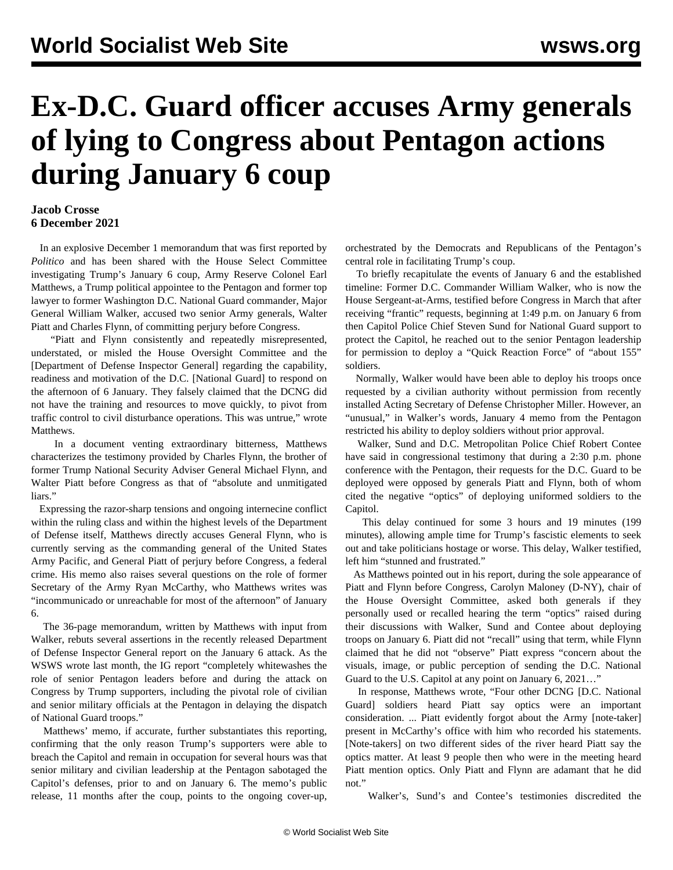## **Ex-D.C. Guard officer accuses Army generals of lying to Congress about Pentagon actions during January 6 coup**

## **Jacob Crosse 6 December 2021**

 In an explosive December 1 memorandum that was first reported by *Politico* and has been shared with the House Select Committee investigating Trump's January 6 coup, Army Reserve Colonel Earl Matthews, a Trump political appointee to the Pentagon and former top lawyer to former Washington D.C. National Guard commander, Major General William Walker, accused two senior Army generals, Walter Piatt and Charles Flynn, of committing perjury before Congress.

 "Piatt and Flynn consistently and repeatedly misrepresented, understated, or misled the House Oversight Committee and the [Department of Defense Inspector General] regarding the capability, readiness and motivation of the D.C. [National Guard] to respond on the afternoon of 6 January. They falsely claimed that the DCNG did not have the training and resources to move quickly, to pivot from traffic control to civil disturbance operations. This was untrue," wrote Matthews.

 In a document venting extraordinary bitterness, Matthews characterizes the testimony provided by Charles Flynn, the brother of former Trump National Security Adviser General Michael Flynn, and Walter Piatt before Congress as that of "absolute and unmitigated liars."

 Expressing the razor-sharp tensions and ongoing internecine conflict within the ruling class and within the highest levels of the Department of Defense itself, Matthews directly accuses General Flynn, who is currently serving as the commanding general of the United States Army Pacific, and General Piatt of perjury before Congress, a federal crime. His memo also raises several questions on the role of former Secretary of the Army Ryan McCarthy, who Matthews writes was "incommunicado or unreachable for most of the afternoon" of January 6.

 The 36-page memorandum, written by Matthews with input from Walker, rebuts several assertions in the recently released Department of Defense Inspector General report on the January 6 attack. As the WSWS wrote last month, the IG report "completely whitewashes the role of senior Pentagon leaders before and during the attack on Congress by Trump supporters, including the pivotal role of civilian and senior military officials at the Pentagon in delaying the dispatch of National Guard troops."

 Matthews' memo, if accurate, further substantiates this reporting, confirming that the only reason Trump's supporters were able to breach the Capitol and remain in occupation for several hours was that senior military and civilian leadership at the Pentagon sabotaged the Capitol's defenses, prior to and on January 6. The memo's public release, 11 months after the coup, points to the ongoing cover-up,

orchestrated by the Democrats and Republicans of the Pentagon's central role in facilitating Trump's coup.

 To briefly recapitulate the events of January 6 and the established timeline: Former D.C. Commander William Walker, who is now the House Sergeant-at-Arms, testified before Congress in March that after receiving "frantic" requests, beginning at 1:49 p.m. on January 6 from then Capitol Police Chief Steven Sund for National Guard support to protect the Capitol, he reached out to the senior Pentagon leadership for permission to deploy a "Quick Reaction Force" of "about 155" soldiers.

 Normally, Walker would have been able to deploy his troops once requested by a civilian authority without permission from recently installed Acting Secretary of Defense Christopher Miller. However, an "unusual," in Walker's words, January 4 memo from the Pentagon restricted his ability to deploy soldiers without prior approval.

 Walker, Sund and D.C. Metropolitan Police Chief Robert Contee have said in congressional testimony that during a 2:30 p.m. phone conference with the Pentagon, their requests for the D.C. Guard to be deployed were opposed by generals Piatt and Flynn, both of whom cited the negative "optics" of deploying uniformed soldiers to the Capitol.

 This delay continued for some 3 hours and 19 minutes (199 minutes), allowing ample time for Trump's fascistic elements to seek out and take politicians hostage or worse. This delay, Walker testified, left him "stunned and frustrated."

 As Matthews pointed out in his report, during the sole appearance of Piatt and Flynn before Congress, Carolyn Maloney (D-NY), chair of the House Oversight Committee, asked both generals if they personally used or recalled hearing the term "optics" raised during their discussions with Walker, Sund and Contee about deploying troops on January 6. Piatt did not "recall" using that term, while Flynn claimed that he did not "observe" Piatt express "concern about the visuals, image, or public perception of sending the D.C. National Guard to the U.S. Capitol at any point on January 6, 2021…"

 In response, Matthews wrote, "Four other DCNG [D.C. National Guard] soldiers heard Piatt say optics were an important consideration. ... Piatt evidently forgot about the Army [note-taker] present in McCarthy's office with him who recorded his statements. [Note-takers] on two different sides of the river heard Piatt say the optics matter. At least 9 people then who were in the meeting heard Piatt mention optics. Only Piatt and Flynn are adamant that he did not."

Walker's, Sund's and Contee's testimonies discredited the